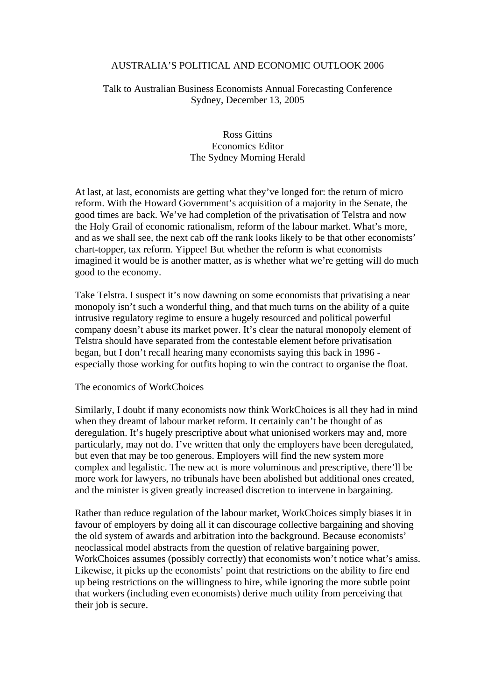## AUSTRALIA'S POLITICAL AND ECONOMIC OUTLOOK 2006

# Talk to Australian Business Economists Annual Forecasting Conference Sydney, December 13, 2005

# Ross Gittins Economics Editor The Sydney Morning Herald

At last, at last, economists are getting what they've longed for: the return of micro reform. With the Howard Government's acquisition of a majority in the Senate, the good times are back. We've had completion of the privatisation of Telstra and now the Holy Grail of economic rationalism, reform of the labour market. What's more, and as we shall see, the next cab off the rank looks likely to be that other economists' chart-topper, tax reform. Yippee! But whether the reform is what economists imagined it would be is another matter, as is whether what we're getting will do much good to the economy.

Take Telstra. I suspect it's now dawning on some economists that privatising a near monopoly isn't such a wonderful thing, and that much turns on the ability of a quite intrusive regulatory regime to ensure a hugely resourced and political powerful company doesn't abuse its market power. It's clear the natural monopoly element of Telstra should have separated from the contestable element before privatisation began, but I don't recall hearing many economists saying this back in 1996 especially those working for outfits hoping to win the contract to organise the float.

### The economics of WorkChoices

Similarly, I doubt if many economists now think WorkChoices is all they had in mind when they dreamt of labour market reform. It certainly can't be thought of as deregulation. It's hugely prescriptive about what unionised workers may and, more particularly, may not do. I've written that only the employers have been deregulated, but even that may be too generous. Employers will find the new system more complex and legalistic. The new act is more voluminous and prescriptive, there'll be more work for lawyers, no tribunals have been abolished but additional ones created, and the minister is given greatly increased discretion to intervene in bargaining.

Rather than reduce regulation of the labour market, WorkChoices simply biases it in favour of employers by doing all it can discourage collective bargaining and shoving the old system of awards and arbitration into the background. Because economists' neoclassical model abstracts from the question of relative bargaining power, WorkChoices assumes (possibly correctly) that economists won't notice what's amiss. Likewise, it picks up the economists' point that restrictions on the ability to fire end up being restrictions on the willingness to hire, while ignoring the more subtle point that workers (including even economists) derive much utility from perceiving that their job is secure.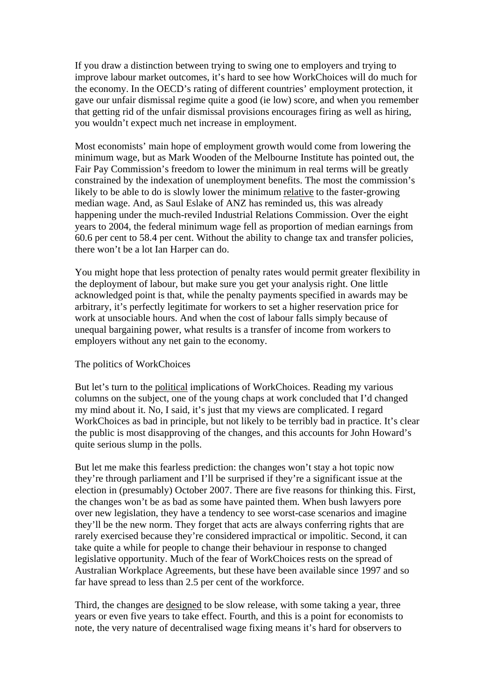If you draw a distinction between trying to swing one to employers and trying to improve labour market outcomes, it's hard to see how WorkChoices will do much for the economy. In the OECD's rating of different countries' employment protection, it gave our unfair dismissal regime quite a good (ie low) score, and when you remember that getting rid of the unfair dismissal provisions encourages firing as well as hiring, you wouldn't expect much net increase in employment.

Most economists' main hope of employment growth would come from lowering the minimum wage, but as Mark Wooden of the Melbourne Institute has pointed out, the Fair Pay Commission's freedom to lower the minimum in real terms will be greatly constrained by the indexation of unemployment benefits. The most the commission's likely to be able to do is slowly lower the minimum relative to the faster-growing median wage. And, as Saul Eslake of ANZ has reminded us, this was already happening under the much-reviled Industrial Relations Commission. Over the eight years to 2004, the federal minimum wage fell as proportion of median earnings from 60.6 per cent to 58.4 per cent. Without the ability to change tax and transfer policies, there won't be a lot Ian Harper can do.

You might hope that less protection of penalty rates would permit greater flexibility in the deployment of labour, but make sure you get your analysis right. One little acknowledged point is that, while the penalty payments specified in awards may be arbitrary, it's perfectly legitimate for workers to set a higher reservation price for work at unsociable hours. And when the cost of labour falls simply because of unequal bargaining power, what results is a transfer of income from workers to employers without any net gain to the economy.

### The politics of WorkChoices

But let's turn to the political implications of WorkChoices. Reading my various columns on the subject, one of the young chaps at work concluded that I'd changed my mind about it. No, I said, it's just that my views are complicated. I regard WorkChoices as bad in principle, but not likely to be terribly bad in practice. It's clear the public is most disapproving of the changes, and this accounts for John Howard's quite serious slump in the polls.

But let me make this fearless prediction: the changes won't stay a hot topic now they're through parliament and I'll be surprised if they're a significant issue at the election in (presumably) October 2007. There are five reasons for thinking this. First, the changes won't be as bad as some have painted them. When bush lawyers pore over new legislation, they have a tendency to see worst-case scenarios and imagine they'll be the new norm. They forget that acts are always conferring rights that are rarely exercised because they're considered impractical or impolitic. Second, it can take quite a while for people to change their behaviour in response to changed legislative opportunity. Much of the fear of WorkChoices rests on the spread of Australian Workplace Agreements, but these have been available since 1997 and so far have spread to less than 2.5 per cent of the workforce.

Third, the changes are designed to be slow release, with some taking a year, three years or even five years to take effect. Fourth, and this is a point for economists to note, the very nature of decentralised wage fixing means it's hard for observers to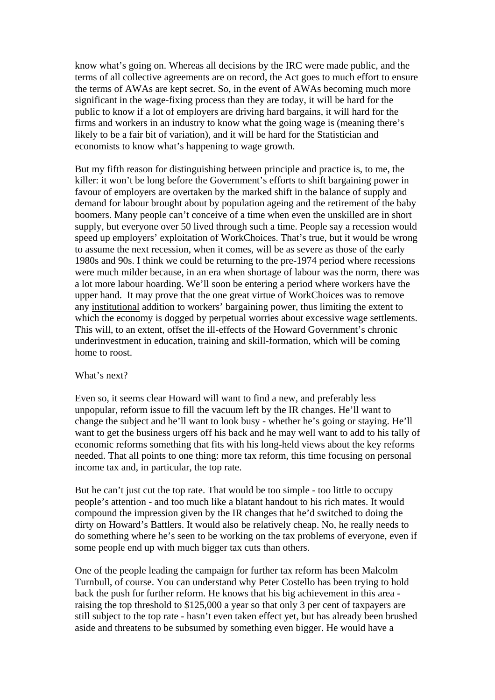know what's going on. Whereas all decisions by the IRC were made public, and the terms of all collective agreements are on record, the Act goes to much effort to ensure the terms of AWAs are kept secret. So, in the event of AWAs becoming much more significant in the wage-fixing process than they are today, it will be hard for the public to know if a lot of employers are driving hard bargains, it will hard for the firms and workers in an industry to know what the going wage is (meaning there's likely to be a fair bit of variation), and it will be hard for the Statistician and economists to know what's happening to wage growth.

But my fifth reason for distinguishing between principle and practice is, to me, the killer: it won't be long before the Government's efforts to shift bargaining power in favour of employers are overtaken by the marked shift in the balance of supply and demand for labour brought about by population ageing and the retirement of the baby boomers. Many people can't conceive of a time when even the unskilled are in short supply, but everyone over 50 lived through such a time. People say a recession would speed up employers' exploitation of WorkChoices. That's true, but it would be wrong to assume the next recession, when it comes, will be as severe as those of the early 1980s and 90s. I think we could be returning to the pre-1974 period where recessions were much milder because, in an era when shortage of labour was the norm, there was a lot more labour hoarding. We'll soon be entering a period where workers have the upper hand. It may prove that the one great virtue of WorkChoices was to remove any institutional addition to workers' bargaining power, thus limiting the extent to which the economy is dogged by perpetual worries about excessive wage settlements. This will, to an extent, offset the ill-effects of the Howard Government's chronic underinvestment in education, training and skill-formation, which will be coming home to roost.

#### What's next?

Even so, it seems clear Howard will want to find a new, and preferably less unpopular, reform issue to fill the vacuum left by the IR changes. He'll want to change the subject and he'll want to look busy - whether he's going or staying. He'll want to get the business urgers off his back and he may well want to add to his tally of economic reforms something that fits with his long-held views about the key reforms needed. That all points to one thing: more tax reform, this time focusing on personal income tax and, in particular, the top rate.

But he can't just cut the top rate. That would be too simple - too little to occupy people's attention - and too much like a blatant handout to his rich mates. It would compound the impression given by the IR changes that he'd switched to doing the dirty on Howard's Battlers. It would also be relatively cheap. No, he really needs to do something where he's seen to be working on the tax problems of everyone, even if some people end up with much bigger tax cuts than others.

One of the people leading the campaign for further tax reform has been Malcolm Turnbull, of course. You can understand why Peter Costello has been trying to hold back the push for further reform. He knows that his big achievement in this area raising the top threshold to \$125,000 a year so that only 3 per cent of taxpayers are still subject to the top rate - hasn't even taken effect yet, but has already been brushed aside and threatens to be subsumed by something even bigger. He would have a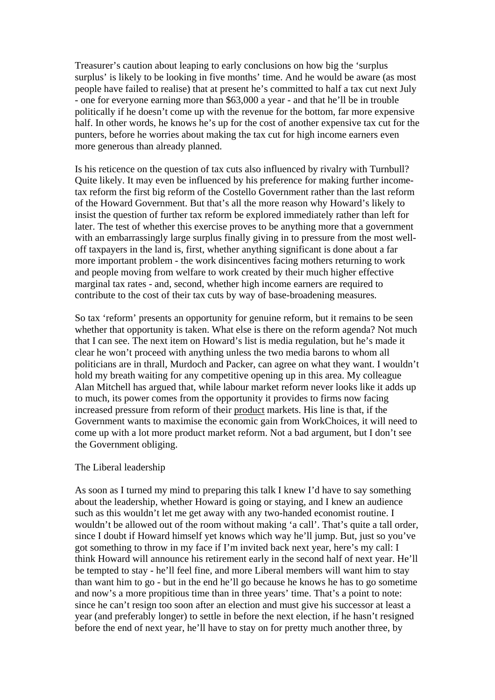Treasurer's caution about leaping to early conclusions on how big the 'surplus surplus' is likely to be looking in five months' time. And he would be aware (as most people have failed to realise) that at present he's committed to half a tax cut next July - one for everyone earning more than \$63,000 a year - and that he'll be in trouble politically if he doesn't come up with the revenue for the bottom, far more expensive half. In other words, he knows he's up for the cost of another expensive tax cut for the punters, before he worries about making the tax cut for high income earners even more generous than already planned.

Is his reticence on the question of tax cuts also influenced by rivalry with Turnbull? Quite likely. It may even be influenced by his preference for making further incometax reform the first big reform of the Costello Government rather than the last reform of the Howard Government. But that's all the more reason why Howard's likely to insist the question of further tax reform be explored immediately rather than left for later. The test of whether this exercise proves to be anything more that a government with an embarrassingly large surplus finally giving in to pressure from the most welloff taxpayers in the land is, first, whether anything significant is done about a far more important problem - the work disincentives facing mothers returning to work and people moving from welfare to work created by their much higher effective marginal tax rates - and, second, whether high income earners are required to contribute to the cost of their tax cuts by way of base-broadening measures.

So tax 'reform' presents an opportunity for genuine reform, but it remains to be seen whether that opportunity is taken. What else is there on the reform agenda? Not much that I can see. The next item on Howard's list is media regulation, but he's made it clear he won't proceed with anything unless the two media barons to whom all politicians are in thrall, Murdoch and Packer, can agree on what they want. I wouldn't hold my breath waiting for any competitive opening up in this area. My colleague Alan Mitchell has argued that, while labour market reform never looks like it adds up to much, its power comes from the opportunity it provides to firms now facing increased pressure from reform of their product markets. His line is that, if the Government wants to maximise the economic gain from WorkChoices, it will need to come up with a lot more product market reform. Not a bad argument, but I don't see the Government obliging.

### The Liberal leadership

As soon as I turned my mind to preparing this talk I knew I'd have to say something about the leadership, whether Howard is going or staying, and I knew an audience such as this wouldn't let me get away with any two-handed economist routine. I wouldn't be allowed out of the room without making 'a call'. That's quite a tall order, since I doubt if Howard himself yet knows which way he'll jump. But, just so you've got something to throw in my face if I'm invited back next year, here's my call: I think Howard will announce his retirement early in the second half of next year. He'll be tempted to stay - he'll feel fine, and more Liberal members will want him to stay than want him to go - but in the end he'll go because he knows he has to go sometime and now's a more propitious time than in three years' time. That's a point to note: since he can't resign too soon after an election and must give his successor at least a year (and preferably longer) to settle in before the next election, if he hasn't resigned before the end of next year, he'll have to stay on for pretty much another three, by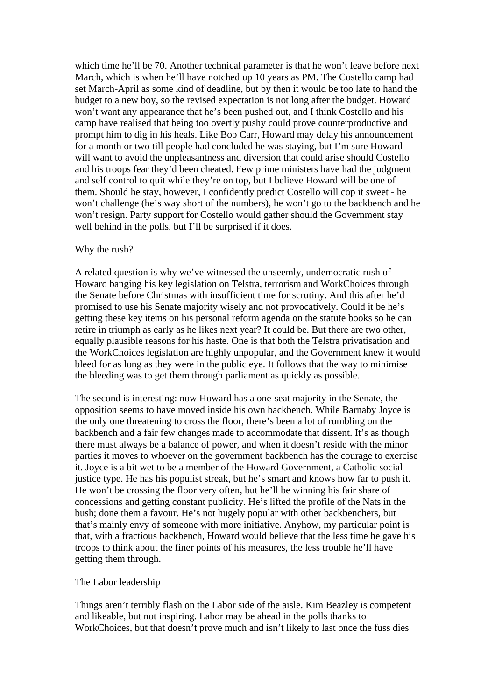which time he'll be 70. Another technical parameter is that he won't leave before next March, which is when he'll have notched up 10 years as PM. The Costello camp had set March-April as some kind of deadline, but by then it would be too late to hand the budget to a new boy, so the revised expectation is not long after the budget. Howard won't want any appearance that he's been pushed out, and I think Costello and his camp have realised that being too overtly pushy could prove counterproductive and prompt him to dig in his heals. Like Bob Carr, Howard may delay his announcement for a month or two till people had concluded he was staying, but I'm sure Howard will want to avoid the unpleasantness and diversion that could arise should Costello and his troops fear they'd been cheated. Few prime ministers have had the judgment and self control to quit while they're on top, but I believe Howard will be one of them. Should he stay, however, I confidently predict Costello will cop it sweet - he won't challenge (he's way short of the numbers), he won't go to the backbench and he won't resign. Party support for Costello would gather should the Government stay well behind in the polls, but I'll be surprised if it does.

### Why the rush?

A related question is why we've witnessed the unseemly, undemocratic rush of Howard banging his key legislation on Telstra, terrorism and WorkChoices through the Senate before Christmas with insufficient time for scrutiny. And this after he'd promised to use his Senate majority wisely and not provocatively. Could it be he's getting these key items on his personal reform agenda on the statute books so he can retire in triumph as early as he likes next year? It could be. But there are two other, equally plausible reasons for his haste. One is that both the Telstra privatisation and the WorkChoices legislation are highly unpopular, and the Government knew it would bleed for as long as they were in the public eye. It follows that the way to minimise the bleeding was to get them through parliament as quickly as possible.

The second is interesting: now Howard has a one-seat majority in the Senate, the opposition seems to have moved inside his own backbench. While Barnaby Joyce is the only one threatening to cross the floor, there's been a lot of rumbling on the backbench and a fair few changes made to accommodate that dissent. It's as though there must always be a balance of power, and when it doesn't reside with the minor parties it moves to whoever on the government backbench has the courage to exercise it. Joyce is a bit wet to be a member of the Howard Government, a Catholic social justice type. He has his populist streak, but he's smart and knows how far to push it. He won't be crossing the floor very often, but he'll be winning his fair share of concessions and getting constant publicity. He's lifted the profile of the Nats in the bush; done them a favour. He's not hugely popular with other backbenchers, but that's mainly envy of someone with more initiative. Anyhow, my particular point is that, with a fractious backbench, Howard would believe that the less time he gave his troops to think about the finer points of his measures, the less trouble he'll have getting them through.

## The Labor leadership

Things aren't terribly flash on the Labor side of the aisle. Kim Beazley is competent and likeable, but not inspiring. Labor may be ahead in the polls thanks to WorkChoices, but that doesn't prove much and isn't likely to last once the fuss dies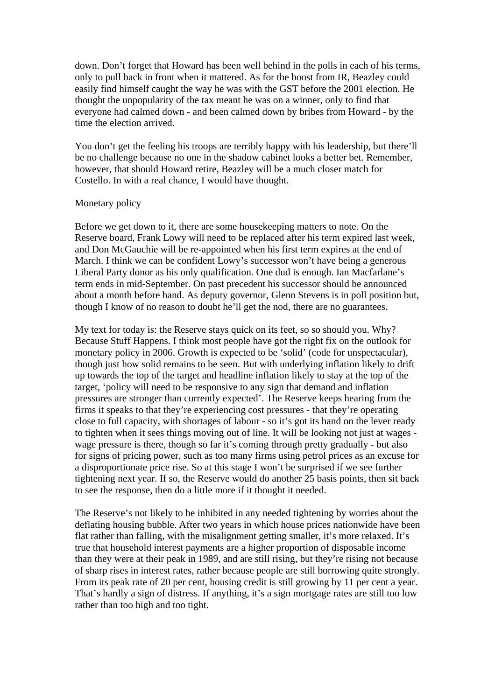down. Don't forget that Howard has been well behind in the polls in each of his terms, only to pull back in front when it mattered. As for the boost from IR, Beazley could easily find himself caught the way he was with the GST before the 2001 election. He thought the unpopularity of the tax meant he was on a winner, only to find that everyone had calmed down - and been calmed down by bribes from Howard - by the time the election arrived.

You don't get the feeling his troops are terribly happy with his leadership, but there'll be no challenge because no one in the shadow cabinet looks a better bet. Remember, however, that should Howard retire, Beazley will be a much closer match for Costello. In with a real chance, I would have thought.

### Monetary policy

Before we get down to it, there are some housekeeping matters to note. On the Reserve board, Frank Lowy will need to be replaced after his term expired last week, and Don McGauchie will be re-appointed when his first term expires at the end of March. I think we can be confident Lowy's successor won't have being a generous Liberal Party donor as his only qualification. One dud is enough. Ian Macfarlane's term ends in mid-September. On past precedent his successor should be announced about a month before hand. As deputy governor, Glenn Stevens is in poll position but, though I know of no reason to doubt he'll get the nod, there are no guarantees.

My text for today is: the Reserve stays quick on its feet, so so should you. Why? Because Stuff Happens. I think most people have got the right fix on the outlook for monetary policy in 2006. Growth is expected to be 'solid' (code for unspectacular), though just how solid remains to be seen. But with underlying inflation likely to drift up towards the top of the target and headline inflation likely to stay at the top of the target, 'policy will need to be responsive to any sign that demand and inflation pressures are stronger than currently expected'. The Reserve keeps hearing from the firms it speaks to that they're experiencing cost pressures - that they're operating close to full capacity, with shortages of labour - so it's got its hand on the lever ready to tighten when it sees things moving out of line. It will be looking not just at wages wage pressure is there, though so far it's coming through pretty gradually - but also for signs of pricing power, such as too many firms using petrol prices as an excuse for a disproportionate price rise. So at this stage I won't be surprised if we see further tightening next year. If so, the Reserve would do another 25 basis points, then sit back to see the response, then do a little more if it thought it needed.

The Reserve's not likely to be inhibited in any needed tightening by worries about the deflating housing bubble. After two years in which house prices nationwide have been flat rather than falling, with the misalignment getting smaller, it's more relaxed. It's true that household interest payments are a higher proportion of disposable income than they were at their peak in 1989, and are still rising, but they're rising not because of sharp rises in interest rates, rather because people are still borrowing quite strongly. From its peak rate of 20 per cent, housing credit is still growing by 11 per cent a year. That's hardly a sign of distress. If anything, it's a sign mortgage rates are still too low rather than too high and too tight.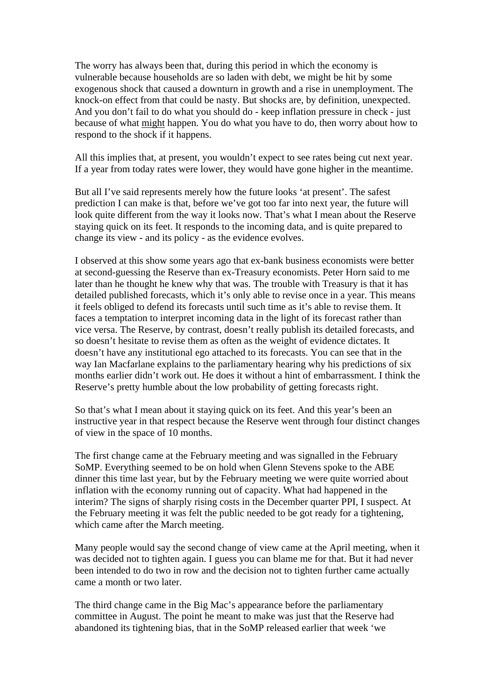The worry has always been that, during this period in which the economy is vulnerable because households are so laden with debt, we might be hit by some exogenous shock that caused a downturn in growth and a rise in unemployment. The knock-on effect from that could be nasty. But shocks are, by definition, unexpected. And you don't fail to do what you should do - keep inflation pressure in check - just because of what might happen. You do what you have to do, then worry about how to respond to the shock if it happens.

All this implies that, at present, you wouldn't expect to see rates being cut next year. If a year from today rates were lower, they would have gone higher in the meantime.

But all I've said represents merely how the future looks 'at present'. The safest prediction I can make is that, before we've got too far into next year, the future will look quite different from the way it looks now. That's what I mean about the Reserve staying quick on its feet. It responds to the incoming data, and is quite prepared to change its view - and its policy - as the evidence evolves.

I observed at this show some years ago that ex-bank business economists were better at second-guessing the Reserve than ex-Treasury economists. Peter Horn said to me later than he thought he knew why that was. The trouble with Treasury is that it has detailed published forecasts, which it's only able to revise once in a year. This means it feels obliged to defend its forecasts until such time as it's able to revise them. It faces a temptation to interpret incoming data in the light of its forecast rather than vice versa. The Reserve, by contrast, doesn't really publish its detailed forecasts, and so doesn't hesitate to revise them as often as the weight of evidence dictates. It doesn't have any institutional ego attached to its forecasts. You can see that in the way Ian Macfarlane explains to the parliamentary hearing why his predictions of six months earlier didn't work out. He does it without a hint of embarrassment. I think the Reserve's pretty humble about the low probability of getting forecasts right.

So that's what I mean about it staying quick on its feet. And this year's been an instructive year in that respect because the Reserve went through four distinct changes of view in the space of 10 months.

The first change came at the February meeting and was signalled in the February SoMP. Everything seemed to be on hold when Glenn Stevens spoke to the ABE dinner this time last year, but by the February meeting we were quite worried about inflation with the economy running out of capacity. What had happened in the interim? The signs of sharply rising costs in the December quarter PPI, I suspect. At the February meeting it was felt the public needed to be got ready for a tightening, which came after the March meeting.

Many people would say the second change of view came at the April meeting, when it was decided not to tighten again. I guess you can blame me for that. But it had never been intended to do two in row and the decision not to tighten further came actually came a month or two later.

The third change came in the Big Mac's appearance before the parliamentary committee in August. The point he meant to make was just that the Reserve had abandoned its tightening bias, that in the SoMP released earlier that week 'we